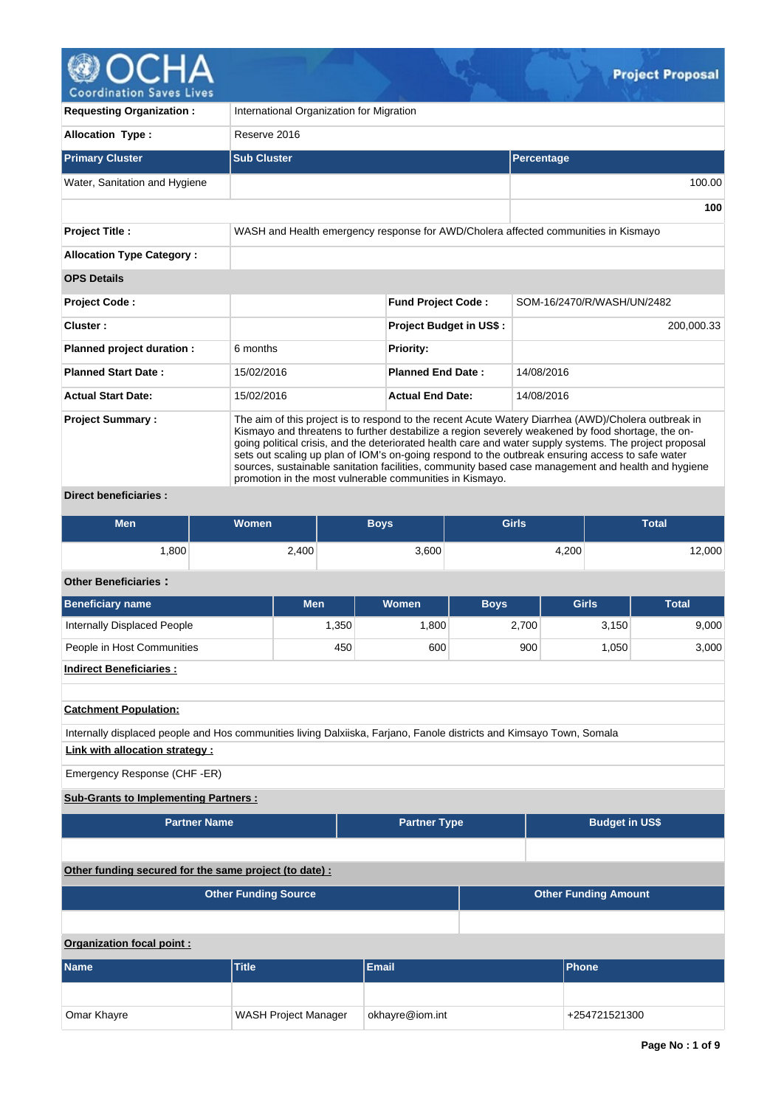

| <b>Requesting Organization:</b>                 | International Organization for Migration                                                                                                                                                                                                                                                                                                                                                                                                                                                                                                                                                  |                                |                                                                                    |  |  |  |  |  |
|-------------------------------------------------|-------------------------------------------------------------------------------------------------------------------------------------------------------------------------------------------------------------------------------------------------------------------------------------------------------------------------------------------------------------------------------------------------------------------------------------------------------------------------------------------------------------------------------------------------------------------------------------------|--------------------------------|------------------------------------------------------------------------------------|--|--|--|--|--|
| <b>Allocation Type:</b>                         | Reserve 2016                                                                                                                                                                                                                                                                                                                                                                                                                                                                                                                                                                              |                                |                                                                                    |  |  |  |  |  |
| <b>Primary Cluster</b>                          | <b>Sub Cluster</b>                                                                                                                                                                                                                                                                                                                                                                                                                                                                                                                                                                        |                                | Percentage                                                                         |  |  |  |  |  |
| Water, Sanitation and Hygiene                   |                                                                                                                                                                                                                                                                                                                                                                                                                                                                                                                                                                                           |                                | 100.00                                                                             |  |  |  |  |  |
|                                                 |                                                                                                                                                                                                                                                                                                                                                                                                                                                                                                                                                                                           |                                | 100                                                                                |  |  |  |  |  |
| <b>Project Title:</b>                           |                                                                                                                                                                                                                                                                                                                                                                                                                                                                                                                                                                                           |                                | WASH and Health emergency response for AWD/Cholera affected communities in Kismayo |  |  |  |  |  |
| <b>Allocation Type Category:</b>                |                                                                                                                                                                                                                                                                                                                                                                                                                                                                                                                                                                                           |                                |                                                                                    |  |  |  |  |  |
| <b>OPS Details</b>                              |                                                                                                                                                                                                                                                                                                                                                                                                                                                                                                                                                                                           |                                |                                                                                    |  |  |  |  |  |
| Project Code:                                   |                                                                                                                                                                                                                                                                                                                                                                                                                                                                                                                                                                                           | <b>Fund Project Code:</b>      | SOM-16/2470/R/WASH/UN/2482                                                         |  |  |  |  |  |
| Cluster:                                        |                                                                                                                                                                                                                                                                                                                                                                                                                                                                                                                                                                                           | <b>Project Budget in US\$:</b> | 200,000.33                                                                         |  |  |  |  |  |
| Planned project duration :                      | 6 months                                                                                                                                                                                                                                                                                                                                                                                                                                                                                                                                                                                  | <b>Priority:</b>               |                                                                                    |  |  |  |  |  |
| <b>Planned Start Date:</b>                      | 15/02/2016                                                                                                                                                                                                                                                                                                                                                                                                                                                                                                                                                                                | <b>Planned End Date:</b>       | 14/08/2016                                                                         |  |  |  |  |  |
| <b>Actual Start Date:</b>                       | 15/02/2016                                                                                                                                                                                                                                                                                                                                                                                                                                                                                                                                                                                | <b>Actual End Date:</b>        | 14/08/2016                                                                         |  |  |  |  |  |
| <b>Project Summary:</b><br>Divaat kanafiajariaa | The aim of this project is to respond to the recent Acute Watery Diarrhea (AWD)/Cholera outbreak in<br>Kismayo and threatens to further destabilize a region severely weakened by food shortage, the on-<br>going political crisis, and the deteriorated health care and water supply systems. The project proposal<br>sets out scaling up plan of IOM's on-going respond to the outbreak ensuring access to safe water<br>sources, sustainable sanitation facilities, community based case management and health and hygiene<br>promotion in the most vulnerable communities in Kismayo. |                                |                                                                                    |  |  |  |  |  |

**Direct beneficiaries :**

| <b>Men</b> | Women <sup>1</sup> | Boys' | <b>Girls</b> | <b>Total</b> |
|------------|--------------------|-------|--------------|--------------|
| .800       | 2,400              | 3,600 | 4,200        | 12,000       |

## **Other Beneficiaries :**

| Beneficiary name            | <b>Men</b>        | <b>Women</b>      | <b>Boys</b> | <b>Girls</b> | <b>Total</b> |
|-----------------------------|-------------------|-------------------|-------------|--------------|--------------|
| Internally Displaced People | .350 <sub>1</sub> | .800 <sub>1</sub> | 2.700       | 3,150        | 9,000        |
| People in Host Communities  | 450               | 600               | 900         | .050         | 3,000        |

# **Indirect Beneficiaries :**

**Catchment Population:**

Internally displaced people and Hos communities living Dalxiiska, Farjano, Fanole districts and Kimsayo Town, Somala **Link with allocation strategy :**

### Emergency Response (CHF -ER)

## **Sub-Grants to Implementing Partners :**

| <b>Partner Name</b> | <b>Partner Type</b> | <b>Budget in US\$</b> |
|---------------------|---------------------|-----------------------|

### **Other funding secured for the same project (to date) :**

| <b>Other Funding Source</b> | <b>Other Funding Amount</b> |
|-----------------------------|-----------------------------|
|                             |                             |

## **Organization focal point :**

| <b>Name</b> | <b>Title</b>                | <b>Email</b>    | <b>Phone</b>  |
|-------------|-----------------------------|-----------------|---------------|
|             |                             |                 |               |
| Omar Khayre | <b>WASH Project Manager</b> | okhayre@iom.int | +254721521300 |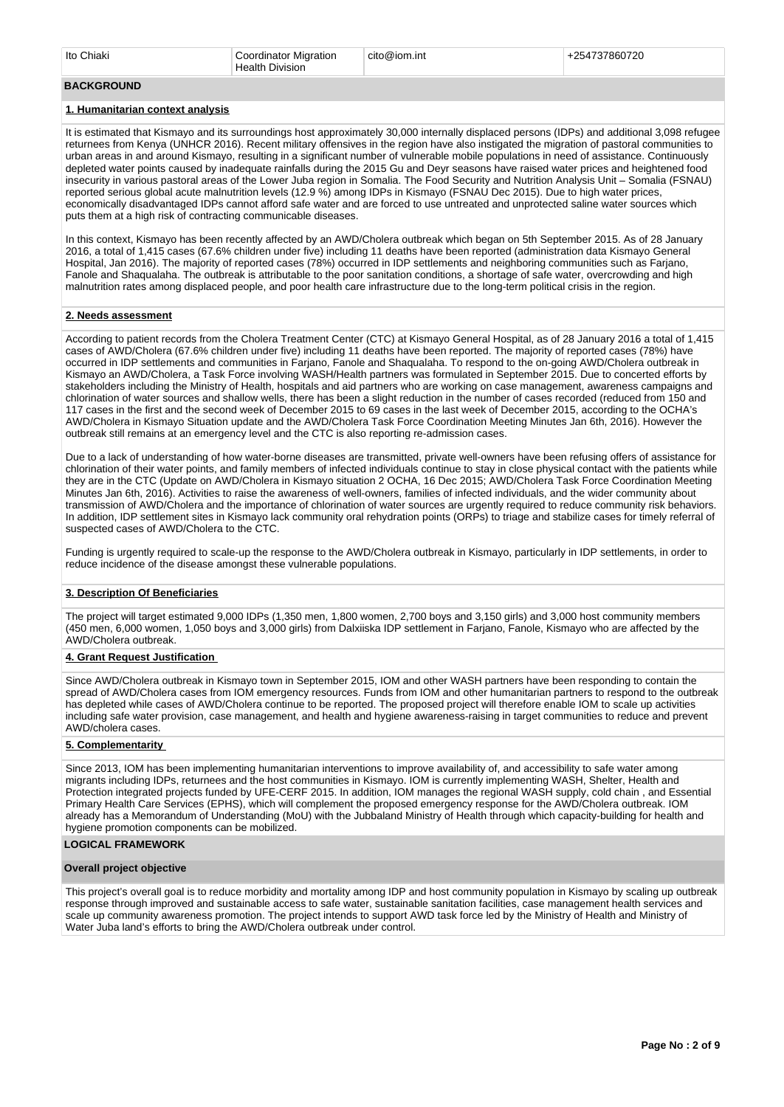#### **BACKGROUND**

#### **1. Humanitarian context analysis**

It is estimated that Kismayo and its surroundings host approximately 30,000 internally displaced persons (IDPs) and additional 3,098 refugee returnees from Kenya (UNHCR 2016). Recent military offensives in the region have also instigated the migration of pastoral communities to urban areas in and around Kismayo, resulting in a significant number of vulnerable mobile populations in need of assistance. Continuously depleted water points caused by inadequate rainfalls during the 2015 Gu and Deyr seasons have raised water prices and heightened food insecurity in various pastoral areas of the Lower Juba region in Somalia. The Food Security and Nutrition Analysis Unit – Somalia (FSNAU) reported serious global acute malnutrition levels (12.9 %) among IDPs in Kismayo (FSNAU Dec 2015). Due to high water prices, economically disadvantaged IDPs cannot afford safe water and are forced to use untreated and unprotected saline water sources which puts them at a high risk of contracting communicable diseases.

In this context, Kismayo has been recently affected by an AWD/Cholera outbreak which began on 5th September 2015. As of 28 January 2016, a total of 1,415 cases (67.6% children under five) including 11 deaths have been reported (administration data Kismayo General Hospital, Jan 2016). The majority of reported cases (78%) occurred in IDP settlements and neighboring communities such as Farjano, Fanole and Shaqualaha. The outbreak is attributable to the poor sanitation conditions, a shortage of safe water, overcrowding and high malnutrition rates among displaced people, and poor health care infrastructure due to the long-term political crisis in the region.

#### **2. Needs assessment**

According to patient records from the Cholera Treatment Center (CTC) at Kismayo General Hospital, as of 28 January 2016 a total of 1,415 cases of AWD/Cholera (67.6% children under five) including 11 deaths have been reported. The majority of reported cases (78%) have occurred in IDP settlements and communities in Farjano, Fanole and Shaqualaha. To respond to the on-going AWD/Cholera outbreak in Kismayo an AWD/Cholera, a Task Force involving WASH/Health partners was formulated in September 2015. Due to concerted efforts by stakeholders including the Ministry of Health, hospitals and aid partners who are working on case management, awareness campaigns and chlorination of water sources and shallow wells, there has been a slight reduction in the number of cases recorded (reduced from 150 and 117 cases in the first and the second week of December 2015 to 69 cases in the last week of December 2015, according to the OCHA's AWD/Cholera in Kismayo Situation update and the AWD/Cholera Task Force Coordination Meeting Minutes Jan 6th, 2016). However the outbreak still remains at an emergency level and the CTC is also reporting re-admission cases.

Due to a lack of understanding of how water-borne diseases are transmitted, private well-owners have been refusing offers of assistance for chlorination of their water points, and family members of infected individuals continue to stay in close physical contact with the patients while they are in the CTC (Update on AWD/Cholera in Kismayo situation 2 OCHA, 16 Dec 2015; AWD/Cholera Task Force Coordination Meeting Minutes Jan 6th, 2016). Activities to raise the awareness of well-owners, families of infected individuals, and the wider community about transmission of AWD/Cholera and the importance of chlorination of water sources are urgently required to reduce community risk behaviors. In addition, IDP settlement sites in Kismayo lack community oral rehydration points (ORPs) to triage and stabilize cases for timely referral of suspected cases of AWD/Cholera to the CTC.

Funding is urgently required to scale-up the response to the AWD/Cholera outbreak in Kismayo, particularly in IDP settlements, in order to reduce incidence of the disease amongst these vulnerable populations.

#### **3. Description Of Beneficiaries**

The project will target estimated 9,000 IDPs (1,350 men, 1,800 women, 2,700 boys and 3,150 girls) and 3,000 host community members (450 men, 6,000 women, 1,050 boys and 3,000 girls) from Dalxiiska IDP settlement in Farjano, Fanole, Kismayo who are affected by the AWD/Cholera outbreak.

### **4. Grant Request Justification**

Since AWD/Cholera outbreak in Kismayo town in September 2015, IOM and other WASH partners have been responding to contain the spread of AWD/Cholera cases from IOM emergency resources. Funds from IOM and other humanitarian partners to respond to the outbreak has depleted while cases of AWD/Cholera continue to be reported. The proposed project will therefore enable IOM to scale up activities including safe water provision, case management, and health and hygiene awareness-raising in target communities to reduce and prevent AWD/cholera cases.

### **5. Complementarity**

Since 2013, IOM has been implementing humanitarian interventions to improve availability of, and accessibility to safe water among migrants including IDPs, returnees and the host communities in Kismayo. IOM is currently implementing WASH, Shelter, Health and Protection integrated projects funded by UFE-CERF 2015. In addition, IOM manages the regional WASH supply, cold chain , and Essential Primary Health Care Services (EPHS), which will complement the proposed emergency response for the AWD/Cholera outbreak. IOM already has a Memorandum of Understanding (MoU) with the Jubbaland Ministry of Health through which capacity-building for health and hygiene promotion components can be mobilized.

### **LOGICAL FRAMEWORK**

#### **Overall project objective**

This project's overall goal is to reduce morbidity and mortality among IDP and host community population in Kismayo by scaling up outbreak response through improved and sustainable access to safe water, sustainable sanitation facilities, case management health services and scale up community awareness promotion. The project intends to support AWD task force led by the Ministry of Health and Ministry of Water Juba land's efforts to bring the AWD/Cholera outbreak under control.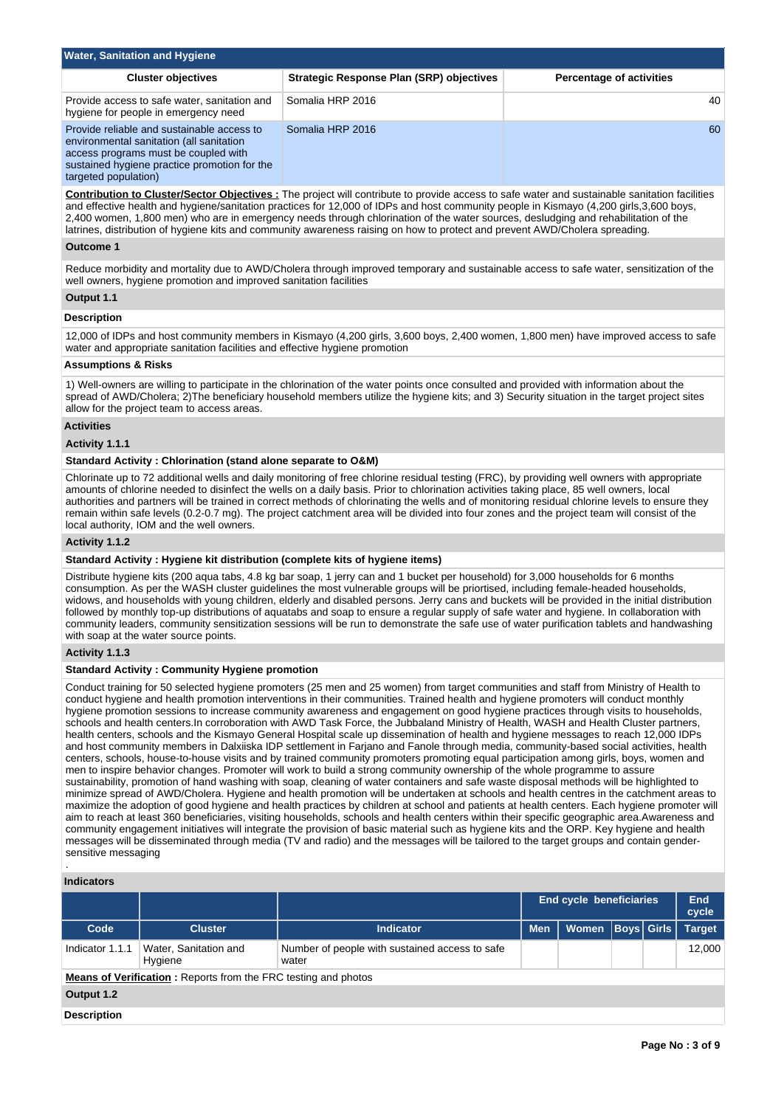| <b>Water, Sanitation and Hygiene</b>                                                                                                                                                                   |                                          |                                 |  |  |  |  |  |  |
|--------------------------------------------------------------------------------------------------------------------------------------------------------------------------------------------------------|------------------------------------------|---------------------------------|--|--|--|--|--|--|
| <b>Cluster objectives</b>                                                                                                                                                                              | Strategic Response Plan (SRP) objectives | <b>Percentage of activities</b> |  |  |  |  |  |  |
| Provide access to safe water, sanitation and<br>hygiene for people in emergency need                                                                                                                   | Somalia HRP 2016                         | 40                              |  |  |  |  |  |  |
| Provide reliable and sustainable access to<br>environmental sanitation (all sanitation<br>access programs must be coupled with<br>sustained hygiene practice promotion for the<br>targeted population) | Somalia HRP 2016                         | 60                              |  |  |  |  |  |  |

**Contribution to Cluster/Sector Objectives :** The project will contribute to provide access to safe water and sustainable sanitation facilities and effective health and hygiene/sanitation practices for 12,000 of IDPs and host community people in Kismayo (4,200 girls,3,600 boys, 2,400 women, 1,800 men) who are in emergency needs through chlorination of the water sources, desludging and rehabilitation of the latrines, distribution of hygiene kits and community awareness raising on how to protect and prevent AWD/Cholera spreading.

#### **Outcome 1**

Reduce morbidity and mortality due to AWD/Cholera through improved temporary and sustainable access to safe water, sensitization of the well owners, hygiene promotion and improved sanitation facilities

## **Output 1.1**

### **Description**

12,000 of IDPs and host community members in Kismayo (4,200 girls, 3,600 boys, 2,400 women, 1,800 men) have improved access to safe water and appropriate sanitation facilities and effective hygiene promotion

### **Assumptions & Risks**

1) Well-owners are willing to participate in the chlorination of the water points once consulted and provided with information about the spread of AWD/Cholera; 2)The beneficiary household members utilize the hygiene kits; and 3) Security situation in the target project sites allow for the project team to access areas.

### **Activities**

### **Activity 1.1.1**

### **Standard Activity : Chlorination (stand alone separate to O&M)**

Chlorinate up to 72 additional wells and daily monitoring of free chlorine residual testing (FRC), by providing well owners with appropriate amounts of chlorine needed to disinfect the wells on a daily basis. Prior to chlorination activities taking place, 85 well owners, local authorities and partners will be trained in correct methods of chlorinating the wells and of monitoring residual chlorine levels to ensure they remain within safe levels (0.2-0.7 mg). The project catchment area will be divided into four zones and the project team will consist of the local authority, IOM and the well owners.

#### **Activity 1.1.2**

#### **Standard Activity : Hygiene kit distribution (complete kits of hygiene items)**

Distribute hygiene kits (200 aqua tabs, 4.8 kg bar soap, 1 jerry can and 1 bucket per household) for 3,000 households for 6 months consumption. As per the WASH cluster guidelines the most vulnerable groups will be priortised, including female-headed households, widows, and households with young children, elderly and disabled persons. Jerry cans and buckets will be provided in the initial distribution followed by monthly top-up distributions of aquatabs and soap to ensure a regular supply of safe water and hygiene. In collaboration with community leaders, community sensitization sessions will be run to demonstrate the safe use of water purification tablets and handwashing with soap at the water source points.

### **Activity 1.1.3**

### **Standard Activity : Community Hygiene promotion**

Conduct training for 50 selected hygiene promoters (25 men and 25 women) from target communities and staff from Ministry of Health to conduct hygiene and health promotion interventions in their communities. Trained health and hygiene promoters will conduct monthly hygiene promotion sessions to increase community awareness and engagement on good hygiene practices through visits to households, schools and health centers.In corroboration with AWD Task Force, the Jubbaland Ministry of Health, WASH and Health Cluster partners, health centers, schools and the Kismayo General Hospital scale up dissemination of health and hygiene messages to reach 12,000 IDPs and host community members in Dalxiiska IDP settlement in Farjano and Fanole through media, community-based social activities, health centers, schools, house-to-house visits and by trained community promoters promoting equal participation among girls, boys, women and men to inspire behavior changes. Promoter will work to build a strong community ownership of the whole programme to assure sustainability, promotion of hand washing with soap, cleaning of water containers and safe waste disposal methods will be highlighted to minimize spread of AWD/Cholera. Hygiene and health promotion will be undertaken at schools and health centres in the catchment areas to maximize the adoption of good hygiene and health practices by children at school and patients at health centers. Each hygiene promoter will aim to reach at least 360 beneficiaries, visiting households, schools and health centers within their specific geographic area.Awareness and community engagement initiatives will integrate the provision of basic material such as hygiene kits and the ORP. Key hygiene and health messages will be disseminated through media (TV and radio) and the messages will be tailored to the target groups and contain gendersensitive messaging

#### **Indicators**

.

|                    |                                                                       |                                                         |            | <b>End cycle beneficiaries</b> |                   |  | End<br>cycle  |
|--------------------|-----------------------------------------------------------------------|---------------------------------------------------------|------------|--------------------------------|-------------------|--|---------------|
| Code               | <b>Cluster</b>                                                        | <b>Indicator</b>                                        | <b>Men</b> | Women                          | <b>Boys Girls</b> |  | <b>Target</b> |
| Indicator 1.1.1    | Water, Sanitation and<br>Hygiene                                      | Number of people with sustained access to safe<br>water |            |                                |                   |  | 12.000        |
|                    | <b>Means of Verification:</b> Reports from the FRC testing and photos |                                                         |            |                                |                   |  |               |
| Output 1.2         |                                                                       |                                                         |            |                                |                   |  |               |
| <b>Description</b> |                                                                       |                                                         |            |                                |                   |  |               |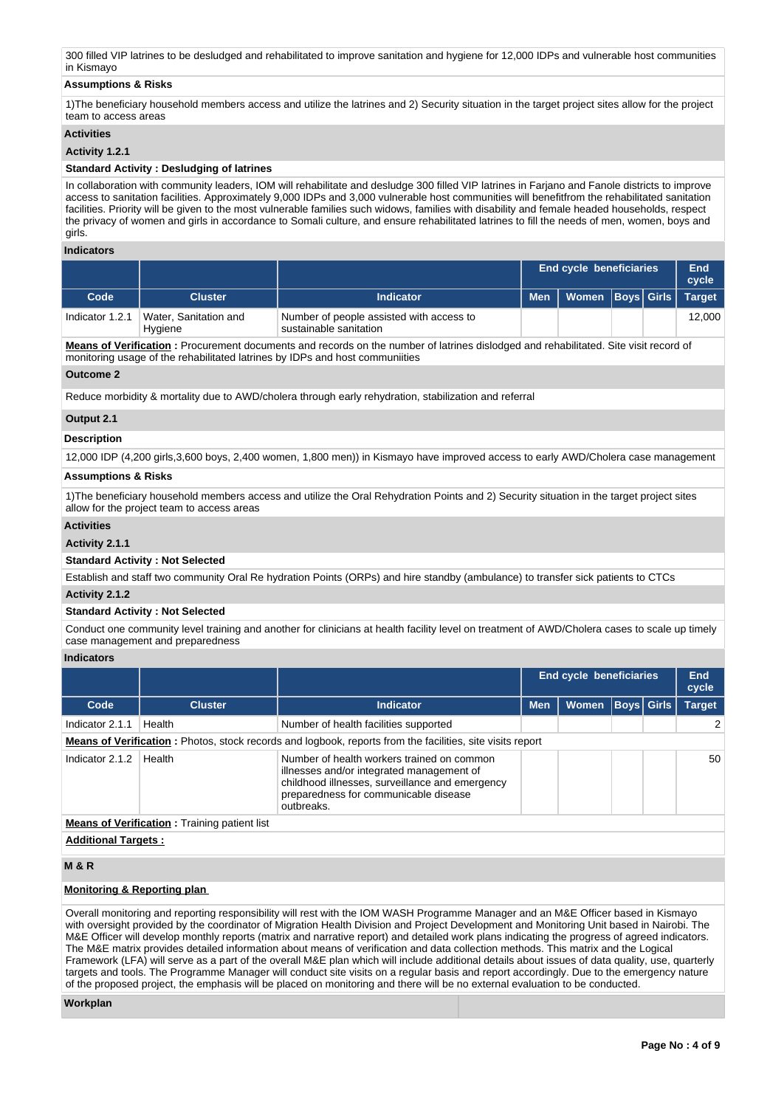300 filled VIP latrines to be desludged and rehabilitated to improve sanitation and hygiene for 12,000 IDPs and vulnerable host communities in Kismayo

### **Assumptions & Risks**

1)The beneficiary household members access and utilize the latrines and 2) Security situation in the target project sites allow for the project team to access areas

### **Activities**

### **Activity 1.2.1**

### **Standard Activity : Desludging of latrines**

In collaboration with community leaders, IOM will rehabilitate and desludge 300 filled VIP latrines in Farjano and Fanole districts to improve access to sanitation facilities. Approximately 9,000 IDPs and 3,000 vulnerable host communities will benefitfrom the rehabilitated sanitation facilities. Priority will be given to the most vulnerable families such widows, families with disability and female headed households, respect the privacy of women and girls in accordance to Somali culture, and ensure rehabilitated latrines to fill the needs of men, women, boys and girls.

### **Indicators**

|                 |                                  | <b>End cycle beneficiaries</b>                                     |  |                                | End<br>cycle |  |               |
|-----------------|----------------------------------|--------------------------------------------------------------------|--|--------------------------------|--------------|--|---------------|
| Code            | <b>Cluster</b>                   | Indicator                                                          |  | Men   Women   Boys   Girls   \ |              |  | <b>Target</b> |
| Indicator 1.2.1 | Water, Sanitation and<br>Hygiene | Number of people assisted with access to<br>sustainable sanitation |  |                                |              |  | 12.000        |

**Means of Verification :** Procurement documents and records on the number of latrines dislodged and rehabilitated. Site visit record of monitoring usage of the rehabilitated latrines by IDPs and host communiities

#### **Outcome 2**

Reduce morbidity & mortality due to AWD/cholera through early rehydration, stabilization and referral

### **Output 2.1**

### **Description**

12,000 IDP (4,200 girls,3,600 boys, 2,400 women, 1,800 men)) in Kismayo have improved access to early AWD/Cholera case management

### **Assumptions & Risks**

1)The beneficiary household members access and utilize the Oral Rehydration Points and 2) Security situation in the target project sites allow for the project team to access areas

### **Activities**

### **Activity 2.1.1**

### **Standard Activity : Not Selected**

Establish and staff two community Oral Re hydration Points (ORPs) and hire standby (ambulance) to transfer sick patients to CTCs

### **Activity 2.1.2**

### **Standard Activity : Not Selected**

Conduct one community level training and another for clinicians at health facility level on treatment of AWD/Cholera cases to scale up timely case management and preparedness

### **Indicators**

|                                                                                                                  |                |                                                                                                                                                                                                   |            | End cycle beneficiaries |  |                   | End<br>cycle  |
|------------------------------------------------------------------------------------------------------------------|----------------|---------------------------------------------------------------------------------------------------------------------------------------------------------------------------------------------------|------------|-------------------------|--|-------------------|---------------|
| Code                                                                                                             | <b>Cluster</b> | <b>Indicator</b>                                                                                                                                                                                  | <b>Men</b> | <b>Women</b>            |  | <b>Boys</b> Girls | <b>Target</b> |
| Indicator 2.1.1                                                                                                  | Health         | Number of health facilities supported                                                                                                                                                             |            |                         |  |                   |               |
| <b>Means of Verification:</b> Photos, stock records and logbook, reports from the facilities, site visits report |                |                                                                                                                                                                                                   |            |                         |  |                   |               |
| Indicator 2.1.2                                                                                                  | Health         | Number of health workers trained on common<br>illnesses and/or integrated management of<br>childhood illnesses, surveillance and emergency<br>preparedness for communicable disease<br>outbreaks. |            |                         |  |                   | 50            |
| <b>Means of Verification:</b> Training patient list                                                              |                |                                                                                                                                                                                                   |            |                         |  |                   |               |
| <b>Additional Targets:</b>                                                                                       |                |                                                                                                                                                                                                   |            |                         |  |                   |               |

## **M & R**

## **Monitoring & Reporting plan**

Overall monitoring and reporting responsibility will rest with the IOM WASH Programme Manager and an M&E Officer based in Kismayo with oversight provided by the coordinator of Migration Health Division and Project Development and Monitoring Unit based in Nairobi. The M&E Officer will develop monthly reports (matrix and narrative report) and detailed work plans indicating the progress of agreed indicators. The M&E matrix provides detailed information about means of verification and data collection methods. This matrix and the Logical Framework (LFA) will serve as a part of the overall M&E plan which will include additional details about issues of data quality, use, quarterly targets and tools. The Programme Manager will conduct site visits on a regular basis and report accordingly. Due to the emergency nature of the proposed project, the emphasis will be placed on monitoring and there will be no external evaluation to be conducted.

#### **Workplan**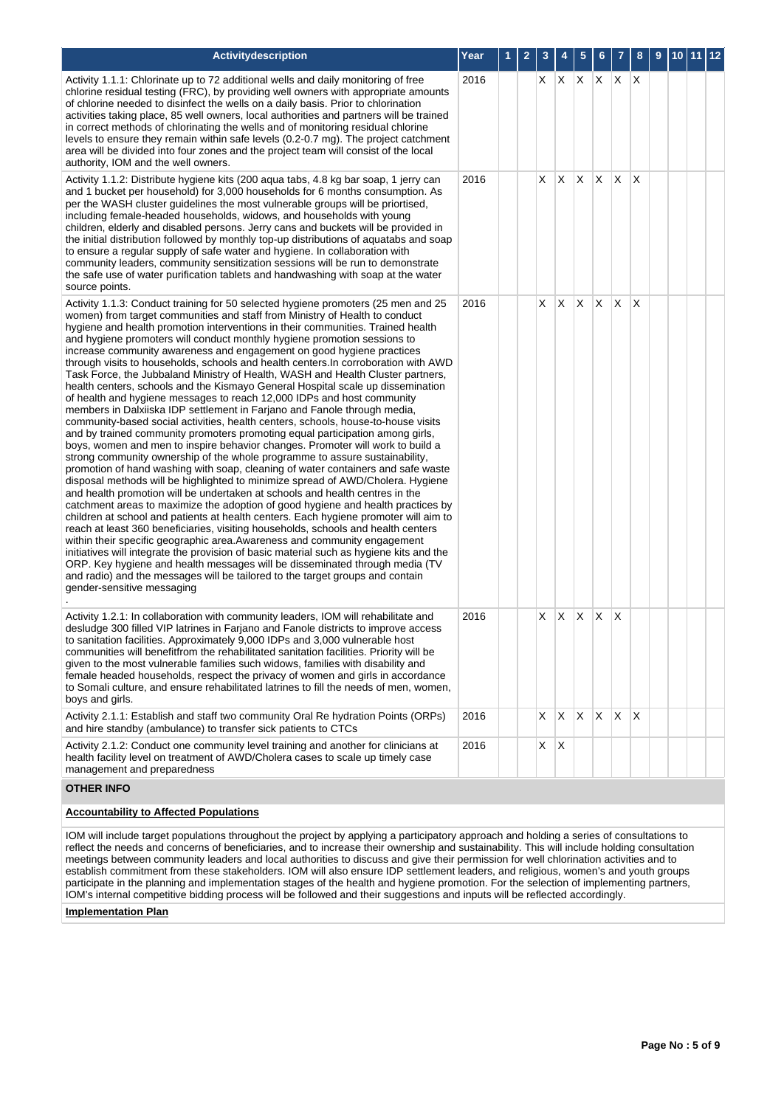| Activitydescription                                                                                                                                                                                                                                                                                                                                                                                                                                                                                                                                                                                                                                                                                                                                                                                                                                                                                                                                                                                                                                                                                                                                                                                                                                                                                                                                                                                                                                                                                                                                                                                                                                                                                                                                                                                                                                                                                                                                                                                                                                              | Year | $\mathbf{2}$ | 3   | 4            | 5               | 6   |              | 8            | 9 | 10 <sub>1</sub> | 11 | $ 12\rangle$ |
|------------------------------------------------------------------------------------------------------------------------------------------------------------------------------------------------------------------------------------------------------------------------------------------------------------------------------------------------------------------------------------------------------------------------------------------------------------------------------------------------------------------------------------------------------------------------------------------------------------------------------------------------------------------------------------------------------------------------------------------------------------------------------------------------------------------------------------------------------------------------------------------------------------------------------------------------------------------------------------------------------------------------------------------------------------------------------------------------------------------------------------------------------------------------------------------------------------------------------------------------------------------------------------------------------------------------------------------------------------------------------------------------------------------------------------------------------------------------------------------------------------------------------------------------------------------------------------------------------------------------------------------------------------------------------------------------------------------------------------------------------------------------------------------------------------------------------------------------------------------------------------------------------------------------------------------------------------------------------------------------------------------------------------------------------------------|------|--------------|-----|--------------|-----------------|-----|--------------|--------------|---|-----------------|----|--------------|
| Activity 1.1.1: Chlorinate up to 72 additional wells and daily monitoring of free<br>chlorine residual testing (FRC), by providing well owners with appropriate amounts<br>of chlorine needed to disinfect the wells on a daily basis. Prior to chlorination<br>activities taking place, 85 well owners, local authorities and partners will be trained<br>in correct methods of chlorinating the wells and of monitoring residual chlorine<br>levels to ensure they remain within safe levels (0.2-0.7 mg). The project catchment<br>area will be divided into four zones and the project team will consist of the local<br>authority, IOM and the well owners.                                                                                                                                                                                                                                                                                                                                                                                                                                                                                                                                                                                                                                                                                                                                                                                                                                                                                                                                                                                                                                                                                                                                                                                                                                                                                                                                                                                                 | 2016 |              | X.  | $\mathsf{X}$ | X.              | X   | XX           |              |   |                 |    |              |
| Activity 1.1.2: Distribute hygiene kits (200 aqua tabs, 4.8 kg bar soap, 1 jerry can<br>and 1 bucket per household) for 3,000 households for 6 months consumption. As<br>per the WASH cluster guidelines the most vulnerable groups will be priortised,<br>including female-headed households, widows, and households with young<br>children, elderly and disabled persons. Jerry cans and buckets will be provided in<br>the initial distribution followed by monthly top-up distributions of aquatabs and soap<br>to ensure a regular supply of safe water and hygiene. In collaboration with<br>community leaders, community sensitization sessions will be run to demonstrate<br>the safe use of water purification tablets and handwashing with soap at the water<br>source points.                                                                                                                                                                                                                                                                                                                                                                                                                                                                                                                                                                                                                                                                                                                                                                                                                                                                                                                                                                                                                                                                                                                                                                                                                                                                         | 2016 |              | X.  | ΙX.          | X.              | ΙX. | X.           | ΙX.          |   |                 |    |              |
| Activity 1.1.3: Conduct training for 50 selected hygiene promoters (25 men and 25<br>women) from target communities and staff from Ministry of Health to conduct<br>hygiene and health promotion interventions in their communities. Trained health<br>and hygiene promoters will conduct monthly hygiene promotion sessions to<br>increase community awareness and engagement on good hygiene practices<br>through visits to households, schools and health centers. In corroboration with AWD<br>Task Force, the Jubbaland Ministry of Health, WASH and Health Cluster partners,<br>health centers, schools and the Kismayo General Hospital scale up dissemination<br>of health and hygiene messages to reach 12,000 IDPs and host community<br>members in Dalxiiska IDP settlement in Farjano and Fanole through media,<br>community-based social activities, health centers, schools, house-to-house visits<br>and by trained community promoters promoting equal participation among girls,<br>boys, women and men to inspire behavior changes. Promoter will work to build a<br>strong community ownership of the whole programme to assure sustainability,<br>promotion of hand washing with soap, cleaning of water containers and safe waste<br>disposal methods will be highlighted to minimize spread of AWD/Cholera. Hygiene<br>and health promotion will be undertaken at schools and health centres in the<br>catchment areas to maximize the adoption of good hygiene and health practices by<br>children at school and patients at health centers. Each hygiene promoter will aim to<br>reach at least 360 beneficiaries, visiting households, schools and health centers<br>within their specific geographic area. Awareness and community engagement<br>initiatives will integrate the provision of basic material such as hygiene kits and the<br>ORP. Key hygiene and health messages will be disseminated through media (TV<br>and radio) and the messages will be tailored to the target groups and contain<br>gender-sensitive messaging | 2016 |              | X.  | $\mathsf{X}$ | X.              | X.  | X            | X            |   |                 |    |              |
| Activity 1.2.1: In collaboration with community leaders, IOM will rehabilitate and<br>desludge 300 filled VIP latrines in Farjano and Fanole districts to improve access<br>to sanitation facilities. Approximately 9,000 IDPs and 3,000 vulnerable host<br>communities will benefitfrom the rehabilitated sanitation facilities. Priority will be<br>given to the most vulnerable families such widows, families with disability and<br>female headed households, respect the privacy of women and girls in accordance<br>to Somali culture, and ensure rehabilitated latrines to fill the needs of men, women,<br>boys and girls.                                                                                                                                                                                                                                                                                                                                                                                                                                                                                                                                                                                                                                                                                                                                                                                                                                                                                                                                                                                                                                                                                                                                                                                                                                                                                                                                                                                                                              | 2016 |              | X   | X            | $\mathsf{\chi}$ | Х   | X            |              |   |                 |    |              |
| Activity 2.1.1: Establish and staff two community Oral Re hydration Points (ORPs)<br>and hire standby (ambulance) to transfer sick patients to CTCs                                                                                                                                                                                                                                                                                                                                                                                                                                                                                                                                                                                                                                                                                                                                                                                                                                                                                                                                                                                                                                                                                                                                                                                                                                                                                                                                                                                                                                                                                                                                                                                                                                                                                                                                                                                                                                                                                                              | 2016 |              | X   | $\mathsf{X}$ | X.              | ΙX. | $\mathsf{X}$ | $\mathsf{X}$ |   |                 |    |              |
| Activity 2.1.2: Conduct one community level training and another for clinicians at<br>health facility level on treatment of AWD/Cholera cases to scale up timely case<br>management and preparedness                                                                                                                                                                                                                                                                                                                                                                                                                                                                                                                                                                                                                                                                                                                                                                                                                                                                                                                                                                                                                                                                                                                                                                                                                                                                                                                                                                                                                                                                                                                                                                                                                                                                                                                                                                                                                                                             | 2016 |              | X X |              |                 |     |              |              |   |                 |    |              |
| <b>OTHER INFO</b>                                                                                                                                                                                                                                                                                                                                                                                                                                                                                                                                                                                                                                                                                                                                                                                                                                                                                                                                                                                                                                                                                                                                                                                                                                                                                                                                                                                                                                                                                                                                                                                                                                                                                                                                                                                                                                                                                                                                                                                                                                                |      |              |     |              |                 |     |              |              |   |                 |    |              |

### **Accountability to Affected Populations**

IOM will include target populations throughout the project by applying a participatory approach and holding a series of consultations to reflect the needs and concerns of beneficiaries, and to increase their ownership and sustainability. This will include holding consultation meetings between community leaders and local authorities to discuss and give their permission for well chlorination activities and to establish commitment from these stakeholders. IOM will also ensure IDP settlement leaders, and religious, women's and youth groups participate in the planning and implementation stages of the health and hygiene promotion. For the selection of implementing partners, IOM's internal competitive bidding process will be followed and their suggestions and inputs will be reflected accordingly.

**Implementation Plan**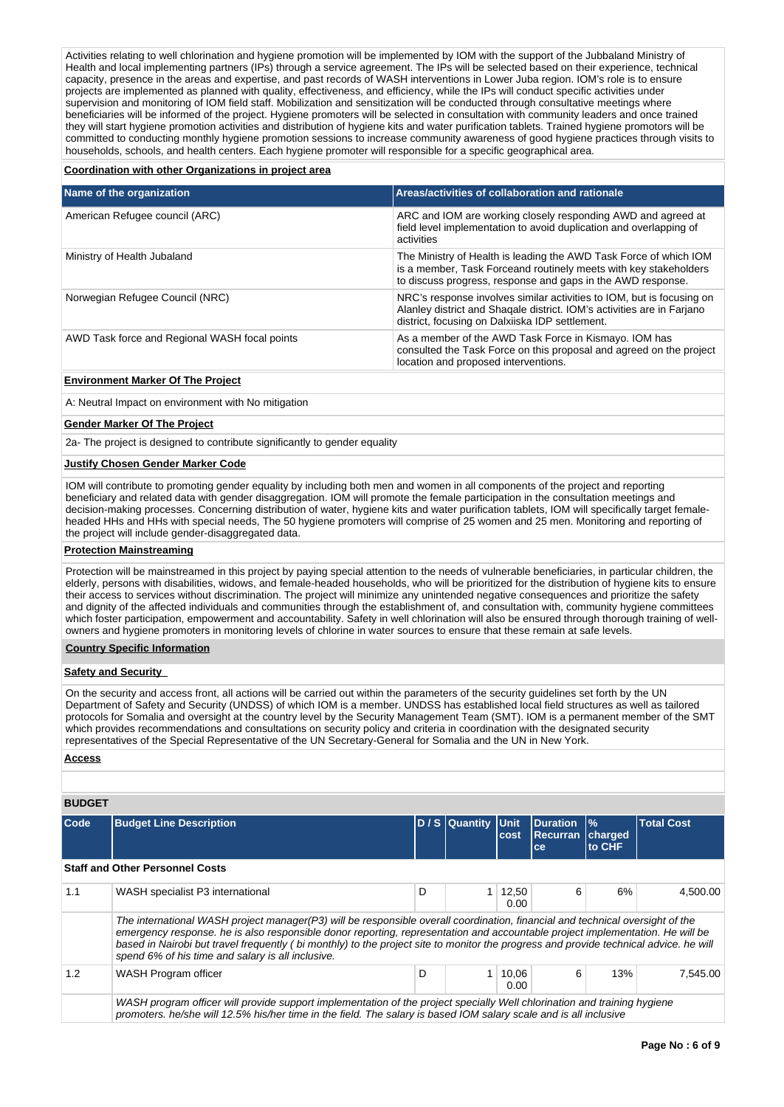Activities relating to well chlorination and hygiene promotion will be implemented by IOM with the support of the Jubbaland Ministry of Health and local implementing partners (IPs) through a service agreement. The IPs will be selected based on their experience, technical capacity, presence in the areas and expertise, and past records of WASH interventions in Lower Juba region. IOM's role is to ensure projects are implemented as planned with quality, effectiveness, and efficiency, while the IPs will conduct specific activities under supervision and monitoring of IOM field staff. Mobilization and sensitization will be conducted through consultative meetings where beneficiaries will be informed of the project. Hygiene promoters will be selected in consultation with community leaders and once trained they will start hygiene promotion activities and distribution of hygiene kits and water purification tablets. Trained hygiene promotors will be committed to conducting monthly hygiene promotion sessions to increase community awareness of good hygiene practices through visits to households, schools, and health centers. Each hygiene promoter will responsible for a specific geographical area.

### **Coordination with other Organizations in project area**

| Name of the organization                      | Areas/activities of collaboration and rationale                                                                                                                                                      |
|-----------------------------------------------|------------------------------------------------------------------------------------------------------------------------------------------------------------------------------------------------------|
| American Refugee council (ARC)                | ARC and IOM are working closely responding AWD and agreed at<br>field level implementation to avoid duplication and overlapping of<br>activities                                                     |
| Ministry of Health Jubaland                   | The Ministry of Health is leading the AWD Task Force of which IOM<br>is a member. Task Forceand routinely meets with key stakeholders<br>to discuss progress, response and gaps in the AWD response. |
| Norwegian Refugee Council (NRC)               | NRC's response involves similar activities to IOM, but is focusing on<br>Alanley district and Shagale district. IOM's activities are in Farjano<br>district, focusing on Dalxiiska IDP settlement.   |
| AWD Task force and Regional WASH focal points | As a member of the AWD Task Force in Kismayo. IOM has<br>consulted the Task Force on this proposal and agreed on the project<br>location and proposed interventions.                                 |

### **Environment Marker Of The Project**

A: Neutral Impact on environment with No mitigation

#### **Gender Marker Of The Project**

2a- The project is designed to contribute significantly to gender equality

### **Justify Chosen Gender Marker Code**

IOM will contribute to promoting gender equality by including both men and women in all components of the project and reporting beneficiary and related data with gender disaggregation. IOM will promote the female participation in the consultation meetings and decision-making processes. Concerning distribution of water, hygiene kits and water purification tablets, IOM will specifically target femaleheaded HHs and HHs with special needs, The 50 hygiene promoters will comprise of 25 women and 25 men. Monitoring and reporting of the project will include gender-disaggregated data.

### **Protection Mainstreaming**

Protection will be mainstreamed in this project by paying special attention to the needs of vulnerable beneficiaries, in particular children, the elderly, persons with disabilities, widows, and female-headed households, who will be prioritized for the distribution of hygiene kits to ensure their access to services without discrimination. The project will minimize any unintended negative consequences and prioritize the safety and dignity of the affected individuals and communities through the establishment of, and consultation with, community hygiene committees which foster participation, empowerment and accountability. Safety in well chlorination will also be ensured through thorough training of wellowners and hygiene promoters in monitoring levels of chlorine in water sources to ensure that these remain at safe levels.

#### **Country Specific Information**

### **Safety and Security**

On the security and access front, all actions will be carried out within the parameters of the security guidelines set forth by the UN Department of Safety and Security (UNDSS) of which IOM is a member. UNDSS has established local field structures as well as tailored protocols for Somalia and oversight at the country level by the Security Management Team (SMT). IOM is a permanent member of the SMT which provides recommendations and consultations on security policy and criteria in coordination with the designated security representatives of the Special Representative of the UN Secretary-General for Somalia and the UN in New York.

### **Access**

### **BUDGET**

| Code | <b>Budget Line Description</b>                                                                                                                                                                                                                                                                                                                                                                                                                               |   | D / S Quantity Unit | cost          | <b>Duration</b><br><b>Recurran</b><br>ce | $\frac{9}{6}$<br>charged<br>to CHF | <b>Total Cost</b> |
|------|--------------------------------------------------------------------------------------------------------------------------------------------------------------------------------------------------------------------------------------------------------------------------------------------------------------------------------------------------------------------------------------------------------------------------------------------------------------|---|---------------------|---------------|------------------------------------------|------------------------------------|-------------------|
|      | <b>Staff and Other Personnel Costs</b>                                                                                                                                                                                                                                                                                                                                                                                                                       |   |                     |               |                                          |                                    |                   |
| 1.1  | WASH specialist P3 international                                                                                                                                                                                                                                                                                                                                                                                                                             | D |                     | 12.50<br>0.00 | 6                                        | 6%                                 | 4.500.00          |
|      | The international WASH project manager(P3) will be responsible overall coordination, financial and technical oversight of the<br>emergency response, he is also responsible donor reporting, representation and accountable project implementation. He will be<br>based in Nairobi but travel frequently (bi monthly) to the project site to monitor the progress and provide technical advice. he will<br>spend 6% of his time and salary is all inclusive. |   |                     |               |                                          |                                    |                   |
| 1.2  | WASH Program officer                                                                                                                                                                                                                                                                                                                                                                                                                                         | D |                     | 10.06<br>0.00 | 6                                        | 13%                                | 7.545.00          |
|      | WASH program officer will provide support implementation of the project specially Well chlorination and training hygiene<br>promoters. he/she will 12.5% his/her time in the field. The salary is based IOM salary scale and is all inclusive                                                                                                                                                                                                                |   |                     |               |                                          |                                    |                   |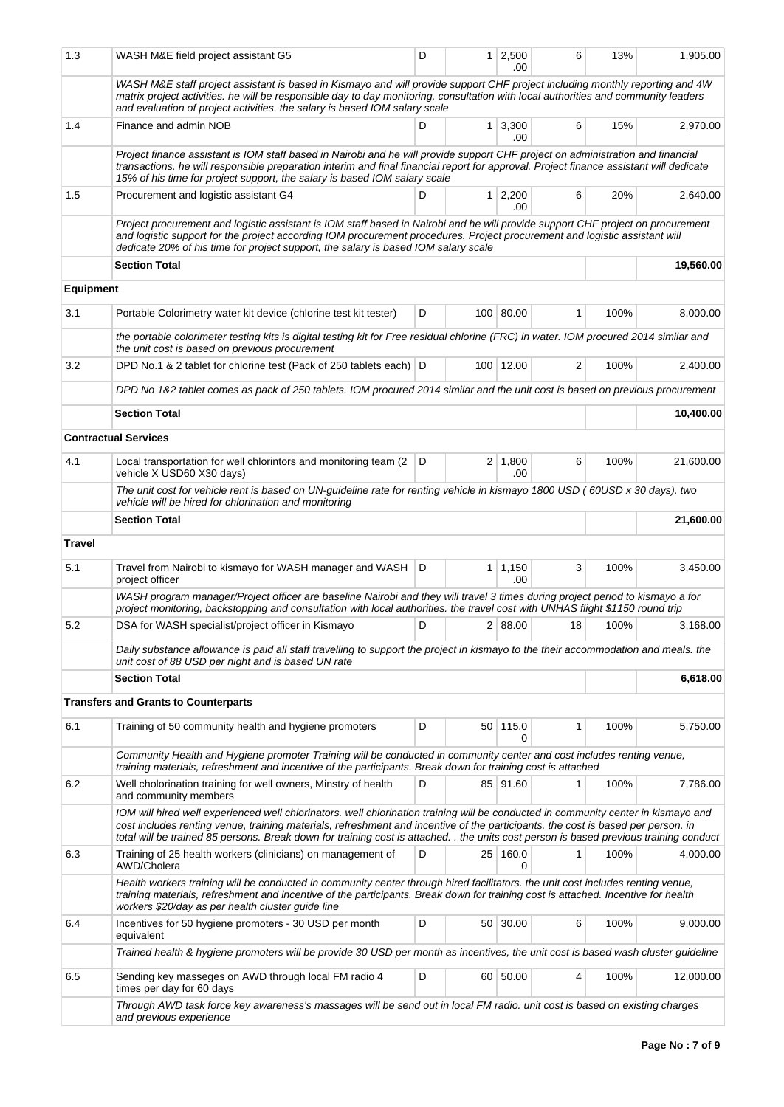| 1.3              | WASH M&E field project assistant G5                                                                                                                                                                                                                                                                                                                                                                              | D |                | 1 2,500<br>.00        | 6  | 13%  | 1,905.00  |
|------------------|------------------------------------------------------------------------------------------------------------------------------------------------------------------------------------------------------------------------------------------------------------------------------------------------------------------------------------------------------------------------------------------------------------------|---|----------------|-----------------------|----|------|-----------|
|                  | WASH M&E staff project assistant is based in Kismayo and will provide support CHF project including monthly reporting and 4W<br>matrix project activities. he will be responsible day to day monitoring, consultation with local authorities and community leaders<br>and evaluation of project activities. the salary is based IOM salary scale                                                                 |   |                |                       |    |      |           |
| 1.4              | Finance and admin NOB                                                                                                                                                                                                                                                                                                                                                                                            | D |                | $1 \mid 3,300$<br>.00 | 6  | 15%  | 2,970.00  |
|                  | Project finance assistant is IOM staff based in Nairobi and he will provide support CHF project on administration and financial<br>transactions. he will responsible preparation interim and final financial report for approval. Project finance assistant will dedicate<br>15% of his time for project support, the salary is based IOM salary scale                                                           |   |                |                       |    |      |           |
| 1.5              | Procurement and logistic assistant G4                                                                                                                                                                                                                                                                                                                                                                            | D |                | 1 2,200<br>.00        | 6  | 20%  | 2.640.00  |
|                  | Project procurement and logistic assistant is IOM staff based in Nairobi and he will provide support CHF project on procurement<br>and logistic support for the project according IOM procurement procedures. Project procurement and logistic assistant will<br>dedicate 20% of his time for project support, the salary is based IOM salary scale                                                              |   |                |                       |    |      |           |
|                  | <b>Section Total</b>                                                                                                                                                                                                                                                                                                                                                                                             |   |                |                       |    |      | 19,560.00 |
| <b>Equipment</b> |                                                                                                                                                                                                                                                                                                                                                                                                                  |   |                |                       |    |      |           |
| 3.1              | Portable Colorimetry water kit device (chlorine test kit tester)                                                                                                                                                                                                                                                                                                                                                 | D |                | 100 80.00             | 1  | 100% | 8,000.00  |
|                  | the portable colorimeter testing kits is digital testing kit for Free residual chlorine (FRC) in water. IOM procured 2014 similar and<br>the unit cost is based on previous procurement                                                                                                                                                                                                                          |   |                |                       |    |      |           |
| 3.2              | DPD No.1 & 2 tablet for chlorine test (Pack of 250 tablets each) D                                                                                                                                                                                                                                                                                                                                               |   |                | 100 12.00             | 2  | 100% | 2,400.00  |
|                  | DPD No 1&2 tablet comes as pack of 250 tablets. IOM procured 2014 similar and the unit cost is based on previous procurement                                                                                                                                                                                                                                                                                     |   |                |                       |    |      |           |
|                  | <b>Section Total</b>                                                                                                                                                                                                                                                                                                                                                                                             |   |                |                       |    |      | 10.400.00 |
|                  | <b>Contractual Services</b>                                                                                                                                                                                                                                                                                                                                                                                      |   |                |                       |    |      |           |
| 4.1              | Local transportation for well chlorintors and monitoring team (2)<br>vehicle X USD60 X30 days)                                                                                                                                                                                                                                                                                                                   | D | 2 <sup>1</sup> | 1,800<br>.00          | 6  | 100% | 21,600.00 |
|                  | The unit cost for vehicle rent is based on UN-guideline rate for renting vehicle in kismayo 1800 USD (60USD x 30 days). two<br>vehicle will be hired for chlorination and monitoring                                                                                                                                                                                                                             |   |                |                       |    |      |           |
|                  | <b>Section Total</b>                                                                                                                                                                                                                                                                                                                                                                                             |   |                |                       |    |      | 21,600.00 |
| <b>Travel</b>    |                                                                                                                                                                                                                                                                                                                                                                                                                  |   |                |                       |    |      |           |
| 5.1              | Travel from Nairobi to kismayo for WASH manager and WASH<br>project officer                                                                                                                                                                                                                                                                                                                                      | D |                | $1 \mid 1,150$<br>.00 | 3  | 100% | 3,450.00  |
|                  | WASH program manager/Project officer are baseline Nairobi and they will travel 3 times during project period to kismayo a for<br>project monitoring, backstopping and consultation with local authorities. the travel cost with UNHAS flight \$1150 round trip                                                                                                                                                   |   |                |                       |    |      |           |
| 5.2              | DSA for WASH specialist/project officer in Kismayo                                                                                                                                                                                                                                                                                                                                                               | D |                | 2   88.00             | 18 | 100% | 3,168.00  |
|                  | Daily substance allowance is paid all staff travelling to support the project in kismayo to the their accommodation and meals. the<br>unit cost of 88 USD per night and is based UN rate                                                                                                                                                                                                                         |   |                |                       |    |      |           |
|                  | <b>Section Total</b>                                                                                                                                                                                                                                                                                                                                                                                             |   |                |                       |    |      | 6,618.00  |
|                  | <b>Transfers and Grants to Counterparts</b>                                                                                                                                                                                                                                                                                                                                                                      |   |                |                       |    |      |           |
| 6.1              | Training of 50 community health and hygiene promoters                                                                                                                                                                                                                                                                                                                                                            | D |                | 50 115.0<br>0         | 1  | 100% | 5,750.00  |
|                  | Community Health and Hygiene promoter Training will be conducted in community center and cost includes renting venue,<br>training materials, refreshment and incentive of the participants. Break down for training cost is attached                                                                                                                                                                             |   |                |                       |    |      |           |
| 6.2              | Well cholorination training for well owners, Minstry of health<br>and community members                                                                                                                                                                                                                                                                                                                          | D |                | 85 91.60              | 1  | 100% | 7,786.00  |
|                  | IOM will hired well experienced well chlorinators. well chlorination training will be conducted in community center in kismayo and<br>cost includes renting venue, training materials, refreshment and incentive of the participants. the cost is based per person. in<br>total will be trained 85 persons. Break down for training cost is attached. . the units cost person is based previous training conduct |   |                |                       |    |      |           |
| 6.3              | Training of 25 health workers (clinicians) on management of<br>AWD/Cholera                                                                                                                                                                                                                                                                                                                                       | D |                | 25 160.0<br>0         | 1  | 100% | 4,000.00  |
|                  | Health workers training will be conducted in community center through hired facilitators. the unit cost includes renting venue,<br>training materials, refreshment and incentive of the participants. Break down for training cost is attached. Incentive for health<br>workers \$20/day as per health cluster guide line                                                                                        |   |                |                       |    |      |           |
| 6.4              | Incentives for 50 hygiene promoters - 30 USD per month<br>equivalent                                                                                                                                                                                                                                                                                                                                             | D |                | 50 30.00              | 6  | 100% | 9,000.00  |
|                  | Trained health & hygiene promoters will be provide 30 USD per month as incentives, the unit cost is based wash cluster guideline                                                                                                                                                                                                                                                                                 |   |                |                       |    |      |           |
| 6.5              | Sending key masseges on AWD through local FM radio 4<br>times per day for 60 days                                                                                                                                                                                                                                                                                                                                | D |                | 60 50.00              | 4  | 100% | 12,000.00 |
|                  | Through AWD task force key awareness's massages will be send out in local FM radio. unit cost is based on existing charges<br>and previous experience                                                                                                                                                                                                                                                            |   |                |                       |    |      |           |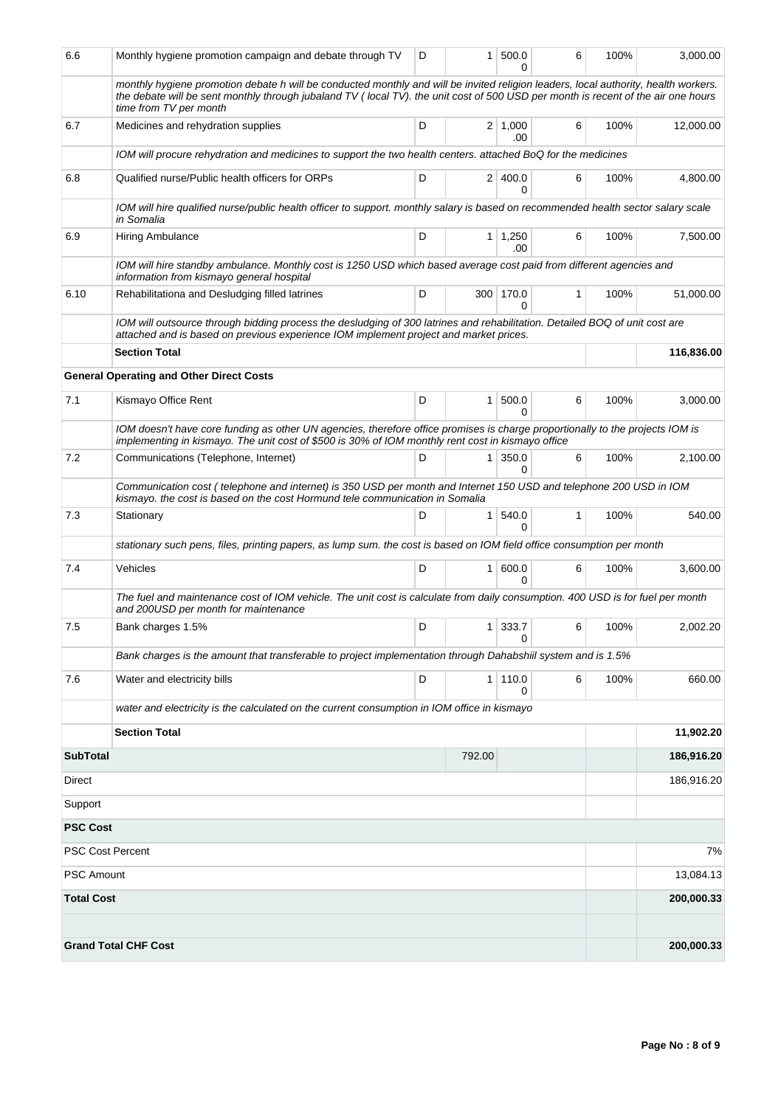| 6.6                     | Monthly hygiene promotion campaign and debate through TV                                                                                                                                                                                                                                           | D | 1 <sup>1</sup>   | 500.0<br>ი            | 6 | 100% | 3,000.00   |  |
|-------------------------|----------------------------------------------------------------------------------------------------------------------------------------------------------------------------------------------------------------------------------------------------------------------------------------------------|---|------------------|-----------------------|---|------|------------|--|
|                         | monthly hygiene promotion debate h will be conducted monthly and will be invited religion leaders, local authority, health workers.<br>the debate will be sent monthly through jubaland TV (local TV). the unit cost of 500 USD per month is recent of the air one hours<br>time from TV per month |   |                  |                       |   |      |            |  |
| 6.7                     | Medicines and rehydration supplies                                                                                                                                                                                                                                                                 | D |                  | $2 \mid 1,000$<br>.00 | 6 | 100% | 12,000.00  |  |
|                         | IOM will procure rehydration and medicines to support the two health centers. attached BoQ for the medicines                                                                                                                                                                                       |   |                  |                       |   |      |            |  |
| 6.8                     | Qualified nurse/Public health officers for ORPs                                                                                                                                                                                                                                                    | D |                  | 2 400.0<br>0          | 6 | 100% | 4,800.00   |  |
|                         | IOM will hire qualified nurse/public health officer to support. monthly salary is based on recommended health sector salary scale<br>in Somalia                                                                                                                                                    |   |                  |                       |   |      |            |  |
| 6.9                     | Hiring Ambulance                                                                                                                                                                                                                                                                                   | D |                  | $1 \mid 1,250$<br>.00 | 6 | 100% | 7,500.00   |  |
|                         | IOM will hire standby ambulance. Monthly cost is 1250 USD which based average cost paid from different agencies and<br>information from kismayo general hospital                                                                                                                                   |   |                  |                       |   |      |            |  |
| 6.10                    | Rehabilitationa and Desludging filled latrines                                                                                                                                                                                                                                                     | D | 300 <sup>2</sup> | 170.0<br>0            | 1 | 100% | 51,000.00  |  |
|                         | IOM will outsource through bidding process the desludging of 300 latrines and rehabilitation. Detailed BOQ of unit cost are<br>attached and is based on previous experience IOM implement project and market prices.                                                                               |   |                  |                       |   |      |            |  |
|                         | <b>Section Total</b>                                                                                                                                                                                                                                                                               |   |                  |                       |   |      | 116,836.00 |  |
|                         | <b>General Operating and Other Direct Costs</b>                                                                                                                                                                                                                                                    |   |                  |                       |   |      |            |  |
| 7.1                     | Kismayo Office Rent                                                                                                                                                                                                                                                                                | D | 1 <sup>1</sup>   | 500.0<br>0            | 6 | 100% | 3,000.00   |  |
|                         | IOM doesn't have core funding as other UN agencies, therefore office promises is charge proportionally to the projects IOM is<br>implementing in kismayo. The unit cost of \$500 is 30% of IOM monthly rent cost in kismayo office                                                                 |   |                  |                       |   |      |            |  |
| 7.2                     | Communications (Telephone, Internet)                                                                                                                                                                                                                                                               | D | 1 <sup>1</sup>   | 350.0<br>$\Omega$     | 6 | 100% | 2,100.00   |  |
|                         | Communication cost (telephone and internet) is 350 USD per month and Internet 150 USD and telephone 200 USD in IOM<br>kismayo. the cost is based on the cost Hormund tele communication in Somalia                                                                                                 |   |                  |                       |   |      |            |  |
| 7.3                     | Stationary                                                                                                                                                                                                                                                                                         | D | 1                | 540.0<br>O            | 1 | 100% | 540.00     |  |
|                         | stationary such pens, files, printing papers, as lump sum. the cost is based on IOM field office consumption per month                                                                                                                                                                             |   |                  |                       |   |      |            |  |
| 7.4                     | Vehicles                                                                                                                                                                                                                                                                                           | D | 1 <sup>1</sup>   | 600.0<br>$\Omega$     | 6 | 100% | 3.600.00   |  |
|                         | The fuel and maintenance cost of IOM vehicle. The unit cost is calculate from daily consumption. 400 USD is for fuel per month<br>and 200USD per month for maintenance                                                                                                                             |   |                  |                       |   |      |            |  |
| 7.5                     | Bank charges 1.5%                                                                                                                                                                                                                                                                                  | D | 1 <sup>1</sup>   | 333.7<br>O            | 6 | 100% | 2,002.20   |  |
|                         | Bank charges is the amount that transferable to project implementation through Dahabshiil system and is 1.5%                                                                                                                                                                                       |   |                  |                       |   |      |            |  |
| 7.6                     | Water and electricity bills                                                                                                                                                                                                                                                                        | D |                  | 1 110.0<br>0          | 6 | 100% | 660.00     |  |
|                         | water and electricity is the calculated on the current consumption in IOM office in kismayo                                                                                                                                                                                                        |   |                  |                       |   |      |            |  |
|                         | <b>Section Total</b>                                                                                                                                                                                                                                                                               |   |                  |                       |   |      | 11,902.20  |  |
| <b>SubTotal</b>         |                                                                                                                                                                                                                                                                                                    |   | 792.00           |                       |   |      | 186,916.20 |  |
| Direct                  |                                                                                                                                                                                                                                                                                                    |   |                  |                       |   |      | 186,916.20 |  |
| Support                 |                                                                                                                                                                                                                                                                                                    |   |                  |                       |   |      |            |  |
| <b>PSC Cost</b>         |                                                                                                                                                                                                                                                                                                    |   |                  |                       |   |      |            |  |
| <b>PSC Cost Percent</b> |                                                                                                                                                                                                                                                                                                    |   |                  |                       |   |      | 7%         |  |
| <b>PSC Amount</b>       |                                                                                                                                                                                                                                                                                                    |   |                  |                       |   |      | 13,084.13  |  |
| <b>Total Cost</b>       |                                                                                                                                                                                                                                                                                                    |   |                  |                       |   |      | 200,000.33 |  |
|                         |                                                                                                                                                                                                                                                                                                    |   |                  |                       |   |      |            |  |
|                         | <b>Grand Total CHF Cost</b>                                                                                                                                                                                                                                                                        |   |                  |                       |   |      | 200,000.33 |  |